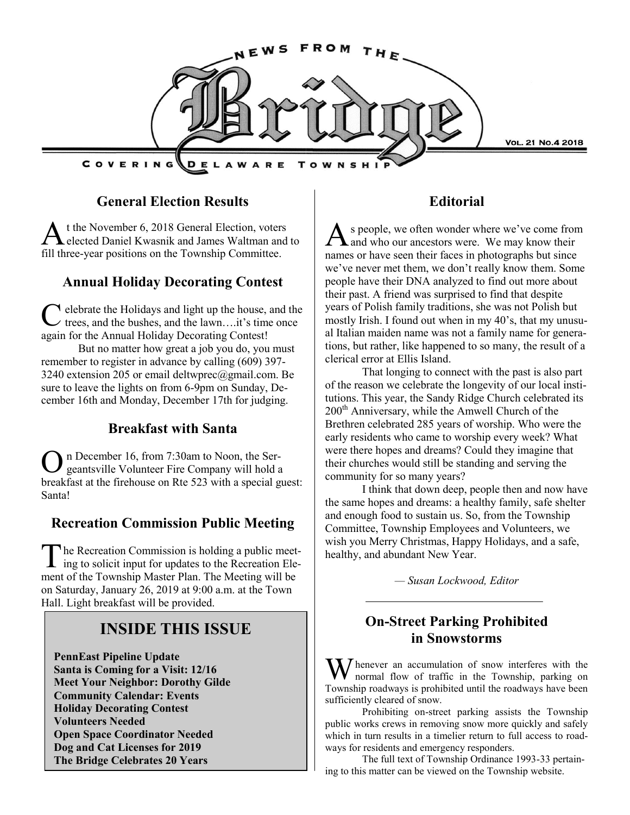

#### **General Election Results**

 $\overline{A}$ t the November 6, 2018 General Election, voters elected Daniel Kwasnik and James Waltman and to fill three-year positions on the Township Committee.

### **Annual Holiday Decorating Contest**

C elebrate the Holidays and light up the house, and the trees, and the bushes, and the lawn….it's time once again for the Annual Holiday Decorating Contest!

But no matter how great a job you do, you must remember to register in advance by calling (609) 397- 3240 extension 205 or email deltwprec@gmail.com. Be sure to leave the lights on from 6-9pm on Sunday, December 16th and Monday, December 17th for judging.

### **Breakfast with Santa**

O n December 16, from 7:30am to Noon, the Sergeantsville Volunteer Fire Company will hold a breakfast at the firehouse on Rte 523 with a special guest: Santa!

### **Recreation Commission Public Meeting**

The Recreation Commission is holding a public meeting to solicit input for updates to the Recreation Elehe Recreation Commission is holding a public meetment of the Township Master Plan. The Meeting will be on Saturday, January 26, 2019 at 9:00 a.m. at the Town Hall. Light breakfast will be provided.

## **INSIDE THIS ISSUE**

**PennEast Pipeline Update Santa is Coming for a Visit: 12/16 Meet Your Neighbor: Dorothy Gilde Community Calendar: Events Holiday Decorating Contest Volunteers Needed Open Space Coordinator Needed Dog and Cat Licenses for 2019 The Bridge Celebrates 20 Years**

#### **Editorial**

A s people, we often wonder where we've come from<br>A and who our ancestors were. We may know their s people, we often wonder where we've come from names or have seen their faces in photographs but since we've never met them, we don't really know them. Some people have their DNA analyzed to find out more about their past. A friend was surprised to find that despite years of Polish family traditions, she was not Polish but mostly Irish. I found out when in my 40's, that my unusual Italian maiden name was not a family name for generations, but rather, like happened to so many, the result of a clerical error at Ellis Island.

That longing to connect with the past is also part of the reason we celebrate the longevity of our local institutions. This year, the Sandy Ridge Church celebrated its 200<sup>th</sup> Anniversary, while the Amwell Church of the Brethren celebrated 285 years of worship. Who were the early residents who came to worship every week? What were there hopes and dreams? Could they imagine that their churches would still be standing and serving the community for so many years?

I think that down deep, people then and now have the same hopes and dreams: a healthy family, safe shelter and enough food to sustain us. So, from the Township Committee, Township Employees and Volunteers, we wish you Merry Christmas, Happy Holidays, and a safe, healthy, and abundant New Year.

*— Susan Lockwood, Editor*

## **On-Street Parking Prohibited in Snowstorms**

I henever an accumulation of snow interferes with the normal flow of traffic in the Township, parking on Township roadways is prohibited until the roadways have been sufficiently cleared of snow.

Prohibiting on-street parking assists the Township public works crews in removing snow more quickly and safely which in turn results in a timelier return to full access to roadways for residents and emergency responders.

The full text of Township Ordinance 1993-33 pertaining to this matter can be viewed on the Township website.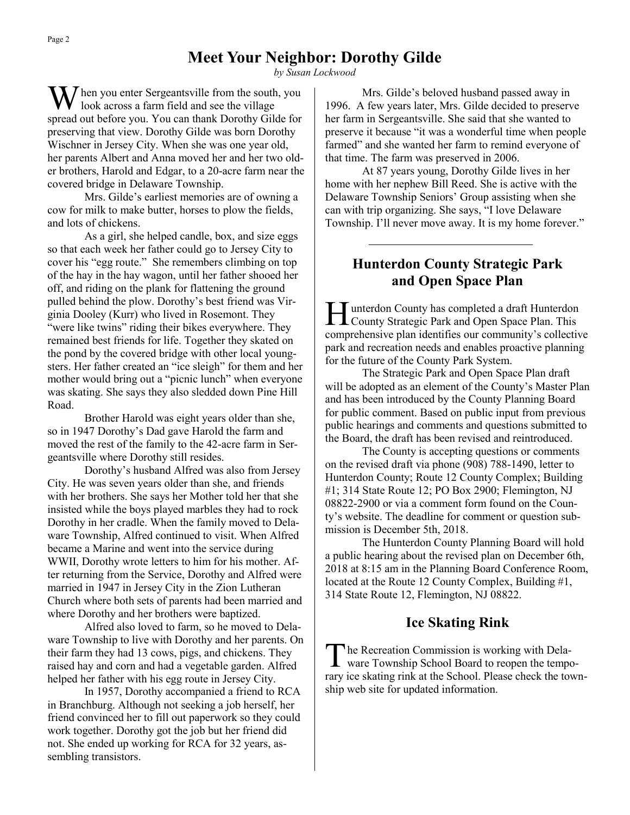### **Meet Your Neighbor: Dorothy Gilde**

*by Susan Lockwood*

 $\sum$  hen you enter Sergeantsville from the south, you look across a farm field and see the village spread out before you. You can thank Dorothy Gilde for preserving that view. Dorothy Gilde was born Dorothy Wischner in Jersey City. When she was one year old, her parents Albert and Anna moved her and her two older brothers, Harold and Edgar, to a 20-acre farm near the covered bridge in Delaware Township.

Mrs. Gilde's earliest memories are of owning a cow for milk to make butter, horses to plow the fields, and lots of chickens.

As a girl, she helped candle, box, and size eggs so that each week her father could go to Jersey City to cover his "egg route." She remembers climbing on top of the hay in the hay wagon, until her father shooed her off, and riding on the plank for flattening the ground pulled behind the plow. Dorothy's best friend was Virginia Dooley (Kurr) who lived in Rosemont. They "were like twins" riding their bikes everywhere. They remained best friends for life. Together they skated on the pond by the covered bridge with other local youngsters. Her father created an "ice sleigh" for them and her mother would bring out a "picnic lunch" when everyone was skating. She says they also sledded down Pine Hill Road.

Brother Harold was eight years older than she, so in 1947 Dorothy's Dad gave Harold the farm and moved the rest of the family to the 42-acre farm in Sergeantsville where Dorothy still resides.

Dorothy's husband Alfred was also from Jersey City. He was seven years older than she, and friends with her brothers. She says her Mother told her that she insisted while the boys played marbles they had to rock Dorothy in her cradle. When the family moved to Delaware Township, Alfred continued to visit. When Alfred became a Marine and went into the service during WWII, Dorothy wrote letters to him for his mother. After returning from the Service, Dorothy and Alfred were married in 1947 in Jersey City in the Zion Lutheran Church where both sets of parents had been married and where Dorothy and her brothers were baptized.

Alfred also loved to farm, so he moved to Delaware Township to live with Dorothy and her parents. On their farm they had 13 cows, pigs, and chickens. They raised hay and corn and had a vegetable garden. Alfred helped her father with his egg route in Jersey City.

In 1957, Dorothy accompanied a friend to RCA in Branchburg. Although not seeking a job herself, her friend convinced her to fill out paperwork so they could work together. Dorothy got the job but her friend did not. She ended up working for RCA for 32 years, assembling transistors.

Mrs. Gilde's beloved husband passed away in 1996. A few years later, Mrs. Gilde decided to preserve her farm in Sergeantsville. She said that she wanted to preserve it because "it was a wonderful time when people farmed" and she wanted her farm to remind everyone of that time. The farm was preserved in 2006.

At 87 years young, Dorothy Gilde lives in her home with her nephew Bill Reed. She is active with the Delaware Township Seniors' Group assisting when she can with trip organizing. She says, "I love Delaware Township. I'll never move away. It is my home forever."

### **Hunterdon County Strategic Park and Open Space Plan**

Hunterdon County has completed a draft Hunterdon<br>County Strategic Park and Open Space Plan. This unterdon County has completed a draft Hunterdon comprehensive plan identifies our community's collective park and recreation needs and enables proactive planning for the future of the County Park System.

The Strategic Park and Open Space Plan draft will be adopted as an element of the County's Master Plan and has been introduced by the County Planning Board for public comment. Based on public input from previous public hearings and comments and questions submitted to the Board, the draft has been revised and reintroduced.

The County is accepting questions or comments on the revised draft via phone (908) 788-1490, letter to Hunterdon County; Route 12 County Complex; Building #1; 314 State Route 12; PO Box 2900; Flemington, NJ 08822-2900 or via a comment form found on the County's website. The deadline for comment or question submission is December 5th, 2018.

The Hunterdon County Planning Board will hold a public hearing about the revised plan on December 6th, 2018 at 8:15 am in the Planning Board Conference Room, located at the Route 12 County Complex, Building #1, 314 State Route 12, Flemington, NJ 08822.

#### **Ice Skating Rink**

The Recreation Commission is working with Dela-<br>ware Township School Board to reopen the tempohe Recreation Commission is working with Delarary ice skating rink at the School. Please check the township web site for updated information.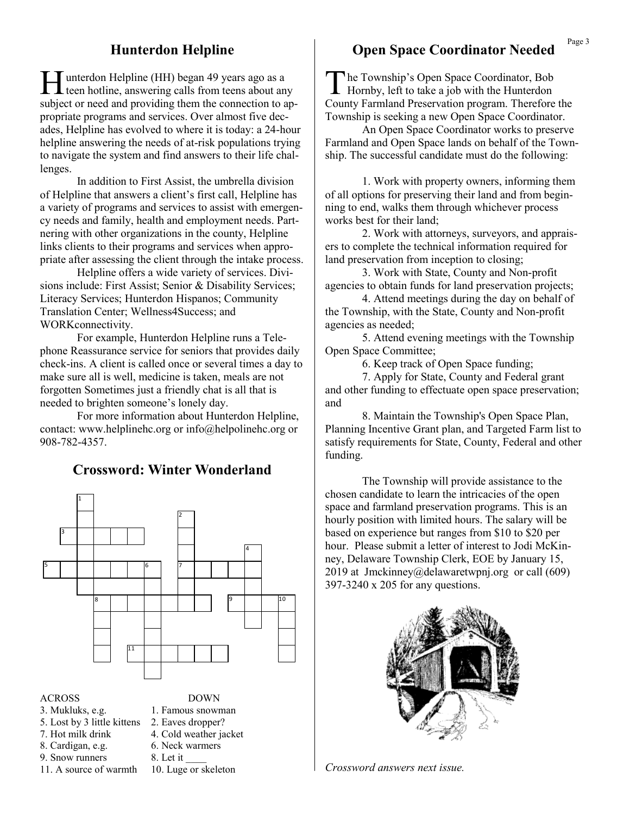#### **Hunterdon Helpline**

Hunterdon Helpline (HH) began 49 years ago as a<br>teen hotline, answering calls from teens about any unterdon Helpline (HH) began 49 years ago as a subject or need and providing them the connection to appropriate programs and services. Over almost five decades, Helpline has evolved to where it is today: a 24-hour helpline answering the needs of at-risk populations trying to navigate the system and find answers to their life challenges.

In addition to First Assist, the umbrella division of Helpline that answers a client's first call, Helpline has a variety of programs and services to assist with emergency needs and family, health and employment needs. Partnering with other organizations in the county, Helpline links clients to their programs and services when appropriate after assessing the client through the intake process.

Helpline offers a wide variety of services. Divisions include: First Assist; Senior & Disability Services; Literacy Services; Hunterdon Hispanos; Community Translation Center; Wellness4Success; and WORKconnectivity.

For example, Hunterdon Helpline runs a Telephone Reassurance service for seniors that provides daily check-ins. A client is called once or several times a day to make sure all is well, medicine is taken, meals are not forgotten Sometimes just a friendly chat is all that is needed to brighten someone's lonely day.

For more information about Hunterdon Helpline, contact: www.helplinehc.org or info@helpolinehc.org or 908-782-4357.

#### **Crossword: Winter Wonderland**



#### ACROSS DOWN

- 
- 
- 
- 9. Snow runners 8. Let it
- 
- 3. Mukluks, e.g. 1. Famous snowman 5. Lost by 3 little kittens 2. Eaves dropper? 7. Hot milk drink 4. Cold weather jacket 8. Cardigan, e.g. 6. Neck warmers 11. A source of warmth 10. Luge or skeleton

#### **Open Space Coordinator Needed**

The Township's Open Space Coordinator, Bob<br>Hornby, left to take a job with the Hunterdon he Township's Open Space Coordinator, Bob County Farmland Preservation program. Therefore the Township is seeking a new Open Space Coordinator.

An Open Space Coordinator works to preserve Farmland and Open Space lands on behalf of the Township. The successful candidate must do the following:

1. Work with property owners, informing them of all options for preserving their land and from beginning to end, walks them through whichever process works best for their land;

2. Work with attorneys, surveyors, and appraisers to complete the technical information required for land preservation from inception to closing;

3. Work with State, County and Non-profit agencies to obtain funds for land preservation projects;

4. Attend meetings during the day on behalf of the Township, with the State, County and Non-profit agencies as needed;

5. Attend evening meetings with the Township Open Space Committee;

6. Keep track of Open Space funding;

7. Apply for State, County and Federal grant and other funding to effectuate open space preservation; and

8. Maintain the Township's Open Space Plan, Planning Incentive Grant plan, and Targeted Farm list to satisfy requirements for State, County, Federal and other funding.

The Township will provide assistance to the chosen candidate to learn the intricacies of the open space and farmland preservation programs. This is an hourly position with limited hours. The salary will be based on experience but ranges from \$10 to \$20 per hour. Please submit a letter of interest to Jodi McKinney, Delaware Township Clerk, EOE by January 15, 2019 at Jmckinney@delawaretwpnj.org or call (609) 397-3240 x 205 for any questions.



*Crossword answers next issue.*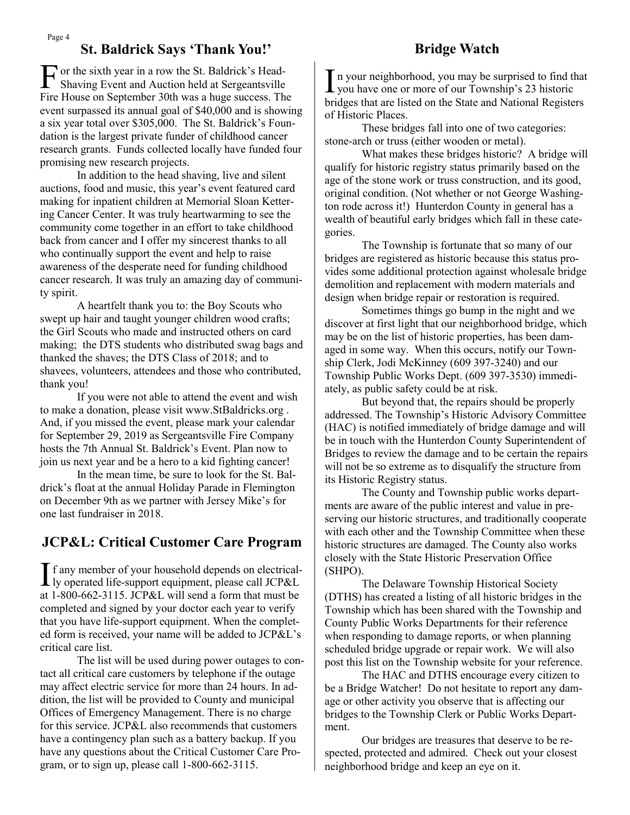## **St. Baldrick Says 'Thank You!' Bridge Watch**

F or the sixth year in a row the St. Baldrick's Head-<br>Shaving Event and Auction held at Sergeantsville Shaving Event and Auction held at Sergeantsville Fire House on September 30th was a huge success. The event surpassed its annual goal of \$40,000 and is showing a six year total over \$305,000. The St. Baldrick's Foundation is the largest private funder of childhood cancer research grants. Funds collected locally have funded four promising new research projects.

In addition to the head shaving, live and silent auctions, food and music, this year's event featured card making for inpatient children at Memorial Sloan Kettering Cancer Center. It was truly heartwarming to see the community come together in an effort to take childhood back from cancer and I offer my sincerest thanks to all who continually support the event and help to raise awareness of the desperate need for funding childhood cancer research. It was truly an amazing day of community spirit.

A heartfelt thank you to: the Boy Scouts who swept up hair and taught younger children wood crafts; the Girl Scouts who made and instructed others on card making; the DTS students who distributed swag bags and thanked the shaves; the DTS Class of 2018; and to shavees, volunteers, attendees and those who contributed, thank you!

If you were not able to attend the event and wish to make a donation, please visit www.StBaldricks.org . And, if you missed the event, please mark your calendar for September 29, 2019 as Sergeantsville Fire Company hosts the 7th Annual St. Baldrick's Event. Plan now to join us next year and be a hero to a kid fighting cancer!

In the mean time, be sure to look for the St. Baldrick's float at the annual Holiday Parade in Flemington on December 9th as we partner with Jersey Mike's for one last fundraiser in 2018.

### **JCP&L: Critical Customer Care Program**

If any member of your household depends on electrical-<br>ly operated life-support equipment, please call JCP&L ly operated life-support equipment, please call JCP&L at 1-800-662-3115. JCP&L will send a form that must be completed and signed by your doctor each year to verify that you have life-support equipment. When the completed form is received, your name will be added to JCP&L's critical care list.

The list will be used during power outages to contact all critical care customers by telephone if the outage may affect electric service for more than 24 hours. In addition, the list will be provided to County and municipal Offices of Emergency Management. There is no charge for this service. JCP&L also recommends that customers have a contingency plan such as a battery backup. If you have any questions about the Critical Customer Care Program, or to sign up, please call 1-800-662-3115.

In your neighborhood, you may be surprised to find the you have one or more of our Township's 23 historic n your neighborhood, you may be surprised to find that bridges that are listed on the State and National Registers of Historic Places.

These bridges fall into one of two categories: stone-arch or truss (either wooden or metal).

What makes these bridges historic? A bridge will qualify for historic registry status primarily based on the age of the stone work or truss construction, and its good, original condition. (Not whether or not George Washington rode across it!) Hunterdon County in general has a wealth of beautiful early bridges which fall in these categories.

The Township is fortunate that so many of our bridges are registered as historic because this status provides some additional protection against wholesale bridge demolition and replacement with modern materials and design when bridge repair or restoration is required.

Sometimes things go bump in the night and we discover at first light that our neighborhood bridge, which may be on the list of historic properties, has been damaged in some way. When this occurs, notify our Township Clerk, Jodi McKinney (609 397-3240) and our Township Public Works Dept. (609 397-3530) immediately, as public safety could be at risk.

But beyond that, the repairs should be properly addressed. The Township's Historic Advisory Committee (HAC) is notified immediately of bridge damage and will be in touch with the Hunterdon County Superintendent of Bridges to review the damage and to be certain the repairs will not be so extreme as to disqualify the structure from its Historic Registry status.

The County and Township public works departments are aware of the public interest and value in preserving our historic structures, and traditionally cooperate with each other and the Township Committee when these historic structures are damaged. The County also works closely with the State Historic Preservation Office (SHPO).

The Delaware Township Historical Society (DTHS) has created a listing of all historic bridges in the Township which has been shared with the Township and County Public Works Departments for their reference when responding to damage reports, or when planning scheduled bridge upgrade or repair work. We will also post this list on the Township website for your reference.

The HAC and DTHS encourage every citizen to be a Bridge Watcher! Do not hesitate to report any damage or other activity you observe that is affecting our bridges to the Township Clerk or Public Works Department.

Our bridges are treasures that deserve to be respected, protected and admired. Check out your closest neighborhood bridge and keep an eye on it.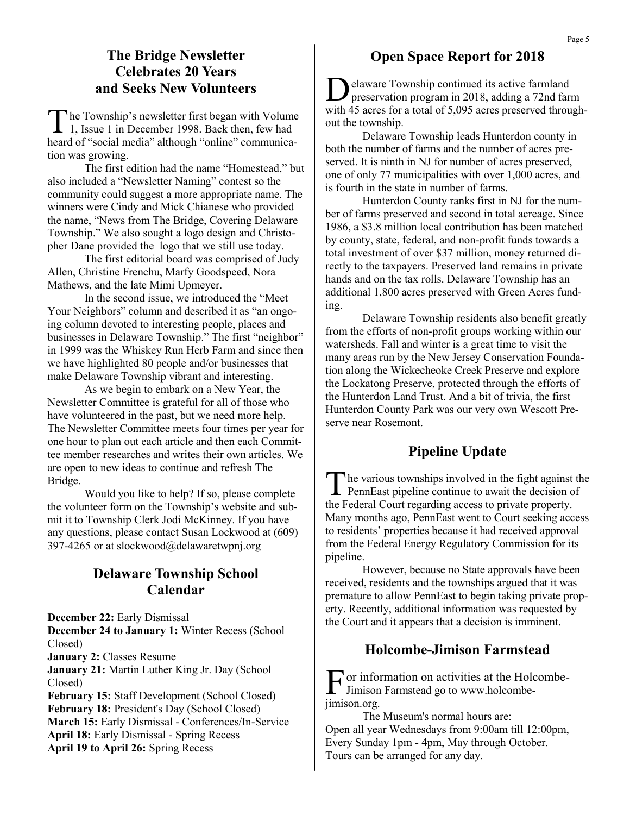#### **The Bridge Newsletter Celebrates 20 Years and Seeks New Volunteers**

T he Township's newsletter first began with Volume 1, Issue 1 in December 1998. Back then, few had heard of "social media" although "online" communication was growing.

The first edition had the name "Homestead," but also included a "Newsletter Naming" contest so the community could suggest a more appropriate name. The winners were Cindy and Mick Chianese who provided the name, "News from The Bridge, Covering Delaware Township." We also sought a logo design and Christopher Dane provided the logo that we still use today.

The first editorial board was comprised of Judy Allen, Christine Frenchu, Marfy Goodspeed, Nora Mathews, and the late Mimi Upmeyer.

In the second issue, we introduced the "Meet Your Neighbors" column and described it as "an ongoing column devoted to interesting people, places and businesses in Delaware Township." The first "neighbor" in 1999 was the Whiskey Run Herb Farm and since then we have highlighted 80 people and/or businesses that make Delaware Township vibrant and interesting.

As we begin to embark on a New Year, the Newsletter Committee is grateful for all of those who have volunteered in the past, but we need more help. The Newsletter Committee meets four times per year for one hour to plan out each article and then each Committee member researches and writes their own articles. We are open to new ideas to continue and refresh The Bridge.

Would you like to help? If so, please complete the volunteer form on the Township's website and submit it to Township Clerk Jodi McKinney. If you have any questions, please contact Susan Lockwood at (609) 397-4265 or at slockwood@delawaretwpnj.org

## **Delaware Township School Calendar**

**December 22:** Early Dismissal **December 24 to January 1:** Winter Recess (School Closed) **January 2:** Classes Resume **January 21:** Martin Luther King Jr. Day (School Closed) **February 15:** Staff Development (School Closed) **February 18:** President's Day (School Closed) **March 15:** Early Dismissal - Conferences/In-Service

**April 18:** Early Dismissal - Spring Recess **April 19 to April 26:** Spring Recess

#### **Open Space Report for 2018**

D elaware Township continued its active farmland preservation program in 2018, adding a 72nd farm with 45 acres for a total of 5,095 acres preserved throughout the township.

Delaware Township leads Hunterdon county in both the number of farms and the number of acres preserved. It is ninth in NJ for number of acres preserved, one of only 77 municipalities with over 1,000 acres, and is fourth in the state in number of farms.

Hunterdon County ranks first in NJ for the number of farms preserved and second in total acreage. Since 1986, a \$3.8 million local contribution has been matched by county, state, federal, and non-profit funds towards a total investment of over \$37 million, money returned directly to the taxpayers. Preserved land remains in private hands and on the tax rolls. Delaware Township has an additional 1,800 acres preserved with Green Acres funding.

Delaware Township residents also benefit greatly from the efforts of non-profit groups working within our watersheds. Fall and winter is a great time to visit the many areas run by the New Jersey Conservation Foundation along the Wickecheoke Creek Preserve and explore the Lockatong Preserve, protected through the efforts of the Hunterdon Land Trust. And a bit of trivia, the first Hunterdon County Park was our very own Wescott Preserve near Rosemont.

### **Pipeline Update**

The various townships involved in the fight against the PennEast pipeline continue to await the decision of he various townships involved in the fight against the the Federal Court regarding access to private property. Many months ago, PennEast went to Court seeking access to residents' properties because it had received approval from the Federal Energy Regulatory Commission for its pipeline.

However, because no State approvals have been received, residents and the townships argued that it was premature to allow PennEast to begin taking private property. Recently, additional information was requested by the Court and it appears that a decision is imminent.

### **Holcombe-Jimison Farmstead**

F or information on activities at the Holcombe-<br>Filmison Farmstead go to www.holcombe-Jimison Farmstead go to www.holcombejimison.org.

The Museum's normal hours are: Open all year Wednesdays from 9:00am till 12:00pm, Every Sunday 1pm - 4pm, May through October. Tours can be arranged for any day.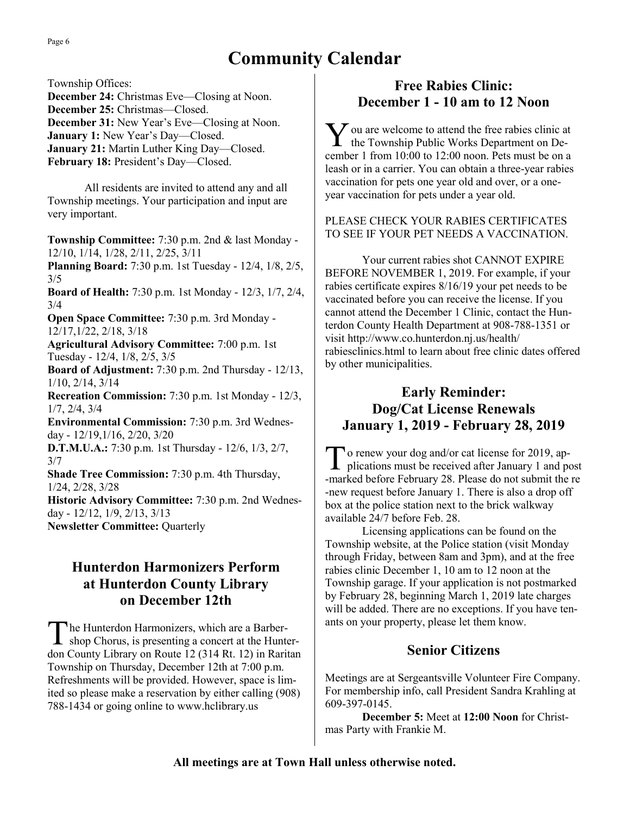# **Community Calendar**

Township Offices: **December 24:** Christmas Eve—Closing at Noon. **December 25:** Christmas—Closed. **December 31:** New Year's Eve—Closing at Noon. **January 1:** New Year's Day—Closed. **January 21:** Martin Luther King Day—Closed. February 18: President's Day—Closed.

All residents are invited to attend any and all Township meetings. Your participation and input are very important.

**Township Committee:** 7:30 p.m. 2nd & last Monday - 12/10, 1/14, 1/28, 2/11, 2/25, 3/11

**Planning Board:** 7:30 p.m. 1st Tuesday - 12/4, 1/8, 2/5, 3/5

**Board of Health:** 7:30 p.m. 1st Monday - 12/3, 1/7, 2/4, 3/4

**Open Space Committee:** 7:30 p.m. 3rd Monday - 12/17,1/22, 2/18, 3/18

**Agricultural Advisory Committee:** 7:00 p.m. 1st Tuesday - 12/4, 1/8, 2/5, 3/5

**Board of Adjustment:** 7:30 p.m. 2nd Thursday - 12/13, 1/10, 2/14, 3/14

**Recreation Commission:** 7:30 p.m. 1st Monday - 12/3, 1/7, 2/4, 3/4

**Environmental Commission:** 7:30 p.m. 3rd Wednesday - 12/19,1/16, 2/20, 3/20

**D.T.M.U.A.:** 7:30 p.m. 1st Thursday - 12/6, 1/3, 2/7, 3/7

**Shade Tree Commission:** 7:30 p.m. 4th Thursday, 1/24, 2/28, 3/28

**Historic Advisory Committee:** 7:30 p.m. 2nd Wednesday - 12/12, 1/9, 2/13, 3/13 **Newsletter Committee:** Quarterly

## **Hunterdon Harmonizers Perform at Hunterdon County Library on December 12th**

The Hunterdon Harmonizers, which are a Barber-<br>shop Chorus, is presenting a concert at the Hunterhe Hunterdon Harmonizers, which are a Barberdon County Library on Route 12 (314 Rt. 12) in Raritan Township on Thursday, December 12th at 7:00 p.m. Refreshments will be provided. However, space is limited so please make a reservation by either calling (908) 788-1434 or going online to www.hclibrary.us

## **Free Rabies Clinic: December 1 - 10 am to 12 Noon**

 $\sum$  ou are welcome to attend the free rabies clinic a<br>the Township Public Works Department on De- $\sum$  ou are welcome to attend the free rabies clinic at cember 1 from 10:00 to 12:00 noon. Pets must be on a leash or in a carrier. You can obtain a three-year rabies vaccination for pets one year old and over, or a oneyear vaccination for pets under a year old.

#### PLEASE CHECK YOUR RABIES CERTIFICATES TO SEE IF YOUR PET NEEDS A VACCINATION.

Your current rabies shot CANNOT EXPIRE BEFORE NOVEMBER 1, 2019. For example, if your rabies certificate expires 8/16/19 your pet needs to be vaccinated before you can receive the license. If you cannot attend the December 1 Clinic, contact the Hunterdon County Health Department at 908-788-1351 or visit http://www.co.hunterdon.nj.us/health/ rabiesclinics.html to learn about free clinic dates offered by other municipalities.

## **Early Reminder: Dog/Cat License Renewals January 1, 2019 - February 28, 2019**

T o renew your dog and/or cat license for 2019, applications must be received after January 1 and post -marked before February 28. Please do not submit the re -new request before January 1. There is also a drop off box at the police station next to the brick walkway available 24/7 before Feb. 28.

Licensing applications can be found on the Township website, at the Police station (visit Monday through Friday, between 8am and 3pm), and at the free rabies clinic December 1, 10 am to 12 noon at the Township garage. If your application is not postmarked by February 28, beginning March 1, 2019 late charges will be added. There are no exceptions. If you have tenants on your property, please let them know.

### **Senior Citizens**

Meetings are at Sergeantsville Volunteer Fire Company. For membership info, call President Sandra Krahling at 609-397-0145.

**December 5:** Meet at **12:00 Noon** for Christmas Party with Frankie M.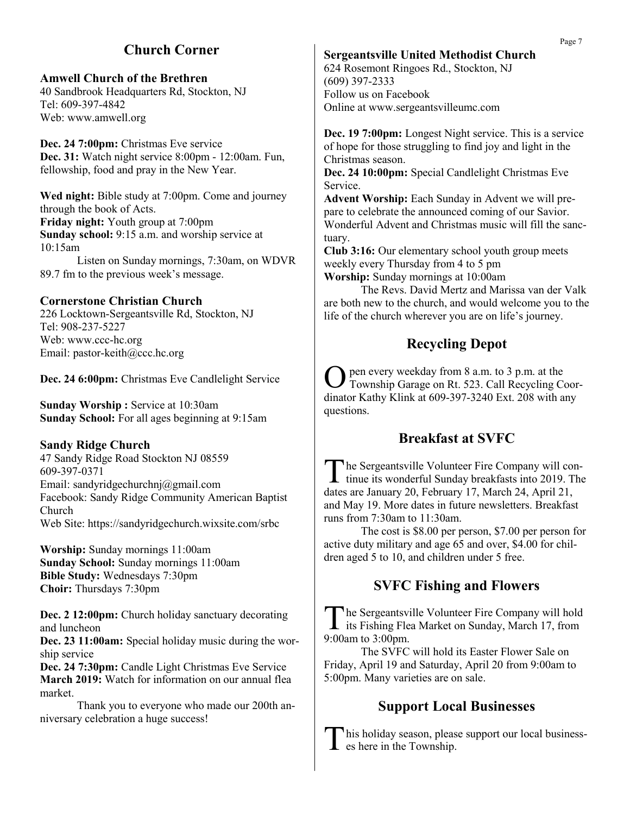## **Church Corner**

#### **Amwell Church of the Brethren**

40 Sandbrook Headquarters Rd, Stockton, NJ Tel: 609-397-4842 Web: www.amwell.org

Dec. 24 7:00pm: Christmas Eve service **Dec. 31:** Watch night service 8:00pm - 12:00am. Fun, fellowship, food and pray in the New Year.

**Wed night:** Bible study at 7:00pm. Come and journey through the book of Acts. **Friday night:** Youth group at 7:00pm **Sunday school:** 9:15 a.m. and worship service at 10:15am

Listen on Sunday mornings, 7:30am, on WDVR 89.7 fm to the previous week's message.

#### **Cornerstone Christian Church**

226 Locktown-Sergeantsville Rd, Stockton, NJ Tel: 908-237-5227 Web: www.ccc-hc.org Email: pastor-keith@ccc.hc.org

**Dec. 24 6:00pm:** Christmas Eve Candlelight Service

**Sunday Worship: Service at 10:30am Sunday School:** For all ages beginning at 9:15am

#### **Sandy Ridge Church**

47 Sandy Ridge Road Stockton NJ 08559 609-397-0371 Email: sandyridgechurchnj@gmail.com Facebook: Sandy Ridge Community American Baptist Church Web Site: https://sandyridgechurch.wixsite.com/srbc

**Worship:** Sunday mornings 11:00am **Sunday School:** Sunday mornings 11:00am **Bible Study:** Wednesdays 7:30pm **Choir:** Thursdays 7:30pm

**Dec. 2 12:00pm:** Church holiday sanctuary decorating and luncheon

**Dec. 23 11:00am:** Special holiday music during the worship service

**Dec. 24 7:30pm:** Candle Light Christmas Eve Service **March 2019:** Watch for information on our annual flea market.

Thank you to everyone who made our 200th anniversary celebration a huge success!

#### **Sergeantsville United Methodist Church**

624 Rosemont Ringoes Rd., Stockton, NJ (609) 397-2333 Follow us on Facebook Online at www.sergeantsvilleumc.com

**Dec. 19 7:00pm:** Longest Night service. This is a service of hope for those struggling to find joy and light in the Christmas season.

**Dec. 24 10:00pm:** Special Candlelight Christmas Eve Service.

**Advent Worship:** Each Sunday in Advent we will prepare to celebrate the announced coming of our Savior. Wonderful Advent and Christmas music will fill the sanctuary.

**Club 3:16:** Our elementary school youth group meets weekly every Thursday from 4 to 5 pm **Worship:** Sunday mornings at 10:00am

The Revs. David Mertz and Marissa van der Valk are both new to the church, and would welcome you to the life of the church wherever you are on life's journey.

## **Recycling Depot**

O pen every weekday from 8 a.m. to 3 p.m. at the Township Garage on Rt. 523. Call Recycling Coordinator Kathy Klink at 609-397-3240 Ext. 208 with any questions.

## **Breakfast at SVFC**

The Sergeantsville Volunteer Fire Company will continue its wonderful Sunday breakfasts into 2019. The he Sergeantsville Volunteer Fire Company will condates are January 20, February 17, March 24, April 21, and May 19. More dates in future newsletters. Breakfast runs from 7:30am to 11:30am.

The cost is \$8.00 per person, \$7.00 per person for active duty military and age 65 and over, \$4.00 for children aged 5 to 10, and children under 5 free.

### **SVFC Fishing and Flowers**

The Sergeantsville Volunteer Fire Company will hold<br>its Fishing Flea Market on Sunday, March 17, from he Sergeantsville Volunteer Fire Company will hold 9:00am to 3:00pm.

The SVFC will hold its Easter Flower Sale on Friday, April 19 and Saturday, April 20 from 9:00am to 5:00pm. Many varieties are on sale.

## **Support Local Businesses**

This holiday season, pleas<br>
es here in the Township. his holiday season, please support our local business